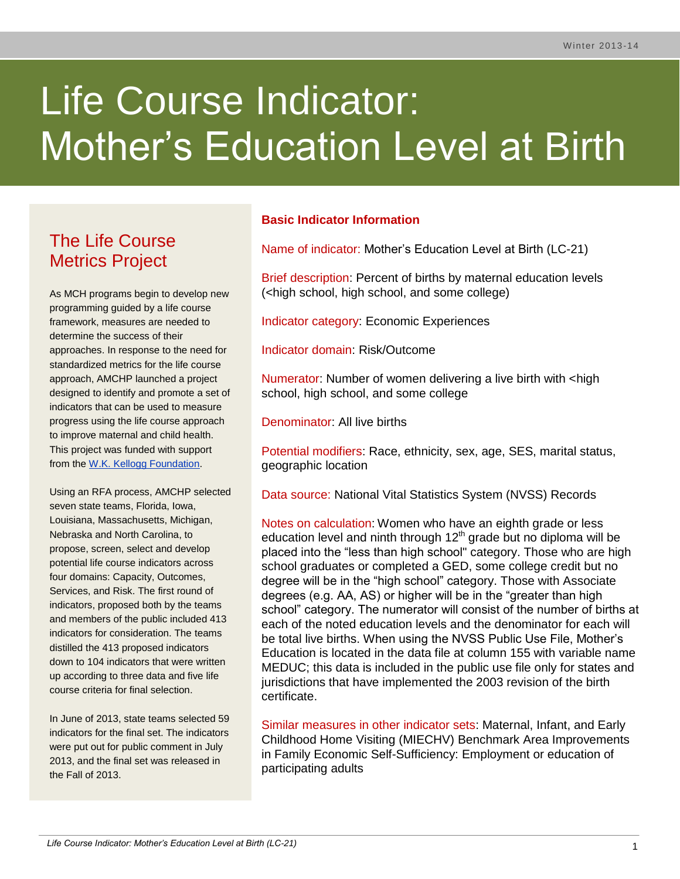# Life Course Indicator: Mother's Education Level at Birth

# The Life Course Metrics Project

As MCH programs begin to develop new programming guided by a life course framework, measures are needed to determine the success of their approaches. In response to the need for standardized metrics for the life course approach, AMCHP launched a project designed to identify and promote a set of indicators that can be used to measure progress using the life course approach to improve maternal and child health. This project was funded with support from the [W.K. Kellogg Foundation.](http://www.wkkf.org/)

Using an RFA process, AMCHP selected seven state teams, Florida, Iowa, Louisiana, Massachusetts, Michigan, Nebraska and North Carolina, to propose, screen, select and develop potential life course indicators across four domains: Capacity, Outcomes, Services, and Risk. The first round of indicators, proposed both by the teams and members of the public included 413 indicators for consideration. The teams distilled the 413 proposed indicators down to 104 indicators that were written up according to three data and five life course criteria for final selection.

In June of 2013, state teams selected 59 indicators for the final set. The indicators were put out for public comment in July 2013, and the final set was released in the Fall of 2013.

## **Basic Indicator Information**

Name of indicator: Mother's Education Level at Birth (LC-21)

Brief description: Percent of births by maternal education levels (<high school, high school, and some college)

Indicator category: Economic Experiences

Indicator domain: Risk/Outcome

Numerator: Number of women delivering a live birth with <high school, high school, and some college

Denominator: All live births

Potential modifiers: Race, ethnicity, sex, age, SES, marital status, geographic location

Data source: National Vital Statistics System (NVSS) Records

Notes on calculation: Women who have an eighth grade or less education level and ninth through  $12<sup>th</sup>$  grade but no diploma will be placed into the "less than high school" category. Those who are high school graduates or completed a GED, some college credit but no degree will be in the "high school" category. Those with Associate degrees (e.g. AA, AS) or higher will be in the "greater than high school" category. The numerator will consist of the number of births at each of the noted education levels and the denominator for each will be total live births. When using the NVSS Public Use File, Mother's Education is located in the data file at column 155 with variable name MEDUC; this data is included in the public use file only for states and jurisdictions that have implemented the 2003 revision of the birth certificate.

Similar measures in other indicator sets: Maternal, Infant, and Early Childhood Home Visiting (MIECHV) Benchmark Area Improvements in Family Economic Self-Sufficiency: Employment or education of participating adults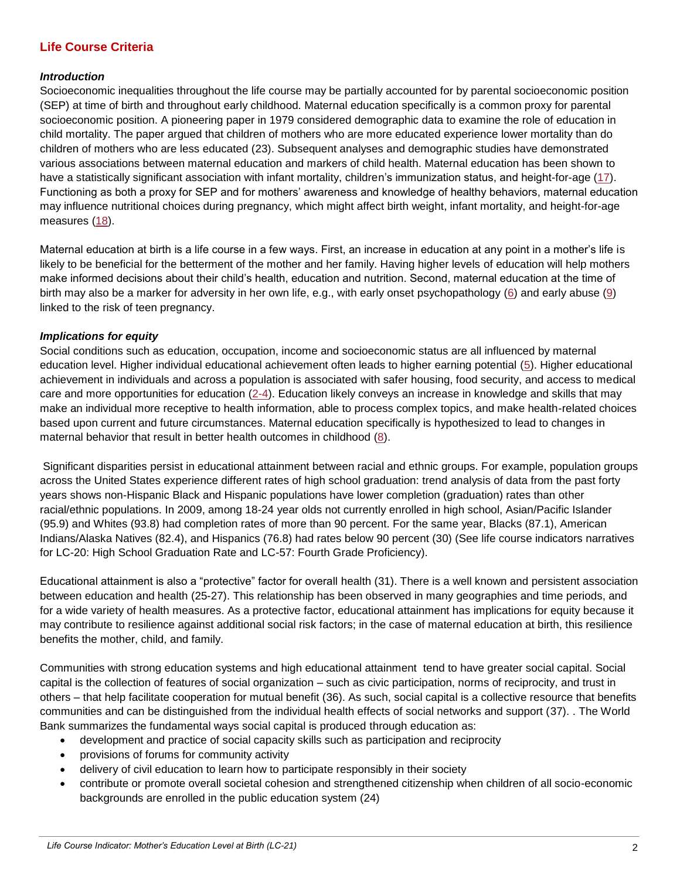## **Life Course Criteria**

#### *Introduction*

Socioeconomic inequalities throughout the life course may be partially accounted for by parental socioeconomic position (SEP) at time of birth and throughout early childhood. Maternal education specifically is a common proxy for parental socioeconomic position. A pioneering paper in 1979 considered demographic data to examine the role of education in child mortality. The paper argued that children of mothers who are more educated experience lower mortality than do children of mothers who are less educated (23). Subsequent analyses and demographic studies have demonstrated various associations between maternal education and markers of child health. Maternal education has been shown to have a statistically significant association with infant mortality, children's immunization status, and height-for-age [\(17\)](#page-5-0). Functioning as both a proxy for SEP and for mothers' awareness and knowledge of healthy behaviors, maternal education may influence nutritional choices during pregnancy, which might affect birth weight, infant mortality, and height-for-age measures [\(18\)](#page-5-1).

Maternal education at birth is a life course in a few ways. First, an increase in education at any point in a mother's life is likely to be beneficial for the betterment of the mother and her family. Having higher levels of education will help mothers make informed decisions about their child's health, education and nutrition. Second, maternal education at the time of birth may also be a marker for adversity in her own life, e.g., with early onset psychopathology [\(6\)](#page-5-2) and early abuse [\(9\)](#page-5-3) linked to the risk of teen pregnancy.

#### *Implications for equity*

Social conditions such as education, occupation, income and socioeconomic status are all influenced by maternal education level. Higher individual educational achievement often leads to higher earning potential [\(5\)](#page-4-0). Higher educational achievement in individuals and across a population is associated with safer housing, food security, and access to medical care and more opportunities for education [\(2-4\)](#page-4-1). Education likely conveys an increase in knowledge and skills that may make an individual more receptive to health information, able to process complex topics, and make health-related choices based upon current and future circumstances. Maternal education specifically is hypothesized to lead to changes in maternal behavior that result in better health outcomes in childhood [\(8\)](#page-5-4).

Significant disparities persist in educational attainment between racial and ethnic groups. For example, population groups across the United States experience different rates of high school graduation: trend analysis of data from the past forty years shows non-Hispanic Black and Hispanic populations have lower completion (graduation) rates than other racial/ethnic populations. In 2009, among 18-24 year olds not currently enrolled in high school, Asian/Pacific Islander (95.9) and Whites (93.8) had completion rates of more than 90 percent. For the same year, Blacks (87.1), American Indians/Alaska Natives (82.4), and Hispanics (76.8) had rates below 90 percent (30) (See life course indicators narratives for LC-20: High School Graduation Rate and LC-57: Fourth Grade Proficiency).

Educational attainment is also a "protective" factor for overall health (31). There is a well known and persistent association between education and health (25-27). This relationship has been observed in many geographies and time periods, and for a wide variety of health measures. As a protective factor, educational attainment has implications for equity because it may contribute to resilience against additional social risk factors; in the case of maternal education at birth, this resilience benefits the mother, child, and family.

Communities with strong education systems and high educational attainment tend to have greater social capital. Social capital is the collection of features of social organization – such as civic participation, norms of reciprocity, and trust in others – that help facilitate cooperation for mutual benefit (36). As such, social capital is a collective resource that benefits communities and can be distinguished from the individual health effects of social networks and support (37). . The World Bank summarizes the fundamental ways social capital is produced through education as:

- development and practice of social capacity skills such as participation and reciprocity
- provisions of forums for community activity
- delivery of civil education to learn how to participate responsibly in their society
- contribute or promote overall societal cohesion and strengthened citizenship when children of all socio-economic backgrounds are enrolled in the public education system (24)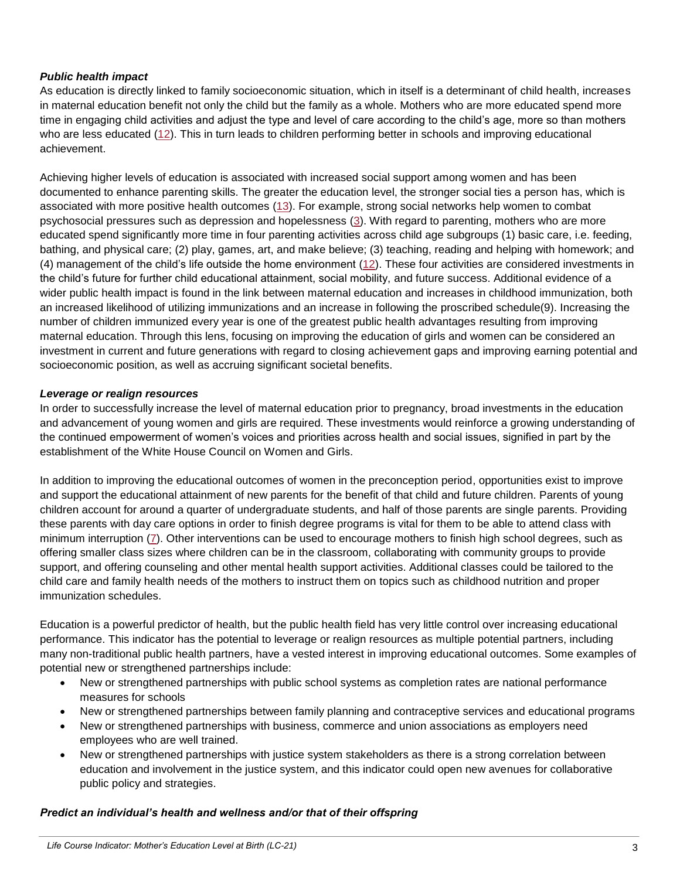#### *Public health impact*

As education is directly linked to family socioeconomic situation, which in itself is a determinant of child health, increases in maternal education benefit not only the child but the family as a whole. Mothers who are more educated spend more time in engaging child activities and adjust the type and level of care according to the child's age, more so than mothers who are less educated [\(12\)](#page-5-5). This in turn leads to children performing better in schools and improving educational achievement.

Achieving higher levels of education is associated with increased social support among women and has been documented to enhance parenting skills. The greater the education level, the stronger social ties a person has, which is associated with more positive health outcomes [\(13\)](#page-5-6). For example, strong social networks help women to combat psychosocial pressures such as depression and hopelessness [\(3\)](#page-4-2). With regard to parenting, mothers who are more educated spend significantly more time in four parenting activities across child age subgroups (1) basic care, i.e. feeding, bathing, and physical care; (2) play, games, art, and make believe; (3) teaching, reading and helping with homework; and (4) management of the child's life outside the home environment [\(12\)](#page-5-5). These four activities are considered investments in the child's future for further child educational attainment, social mobility, and future success. Additional evidence of a wider public health impact is found in the link between maternal education and increases in childhood immunization, both an increased likelihood of utilizing immunizations and an increase in following the proscribed schedule(9). Increasing the number of children immunized every year is one of the greatest public health advantages resulting from improving maternal education. Through this lens, focusing on improving the education of girls and women can be considered an investment in current and future generations with regard to closing achievement gaps and improving earning potential and socioeconomic position, as well as accruing significant societal benefits.

#### *Leverage or realign resources*

In order to successfully increase the level of maternal education prior to pregnancy, broad investments in the education and advancement of young women and girls are required. These investments would reinforce a growing understanding of the continued empowerment of women's voices and priorities across health and social issues, signified in part by the establishment of the White House Council on Women and Girls.

In addition to improving the educational outcomes of women in the preconception period, opportunities exist to improve and support the educational attainment of new parents for the benefit of that child and future children. Parents of young children account for around a quarter of undergraduate students, and half of those parents are single parents. Providing these parents with day care options in order to finish degree programs is vital for them to be able to attend class with minimum interruption [\(7\)](#page-5-7). Other interventions can be used to encourage mothers to finish high school degrees, such as offering smaller class sizes where children can be in the classroom, collaborating with community groups to provide support, and offering counseling and other mental health support activities. Additional classes could be tailored to the child care and family health needs of the mothers to instruct them on topics such as childhood nutrition and proper immunization schedules.

Education is a powerful predictor of health, but the public health field has very little control over increasing educational performance. This indicator has the potential to leverage or realign resources as multiple potential partners, including many non-traditional public health partners, have a vested interest in improving educational outcomes. Some examples of potential new or strengthened partnerships include:

- New or strengthened partnerships with public school systems as completion rates are national performance measures for schools
- New or strengthened partnerships between family planning and contraceptive services and educational programs
- New or strengthened partnerships with business, commerce and union associations as employers need employees who are well trained.
- New or strengthened partnerships with justice system stakeholders as there is a strong correlation between education and involvement in the justice system, and this indicator could open new avenues for collaborative public policy and strategies.

#### *Predict an individual's health and wellness and/or that of their offspring*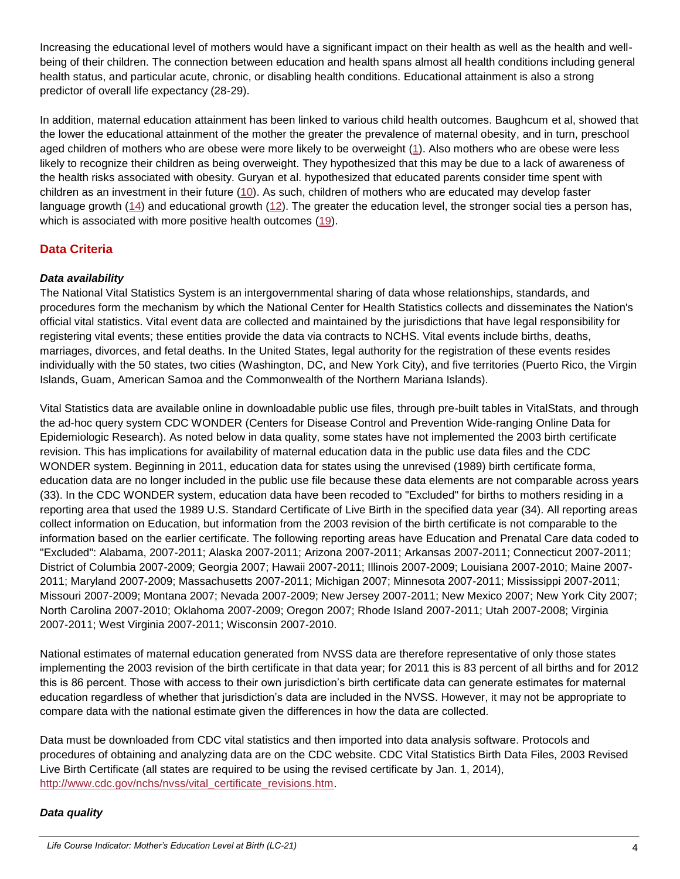Increasing the educational level of mothers would have a significant impact on their health as well as the health and wellbeing of their children. The connection between education and health spans almost all health conditions including general health status, and particular acute, chronic, or disabling health conditions. Educational attainment is also a strong predictor of overall life expectancy (28-29).

In addition, maternal education attainment has been linked to various child health outcomes. Baughcum et al, showed that the lower the educational attainment of the mother the greater the prevalence of maternal obesity, and in turn, preschool aged children of mothers who are obese were more likely to be overweight [\(1\)](#page-4-3). Also mothers who are obese were less likely to recognize their children as being overweight. They hypothesized that this may be due to a lack of awareness of the health risks associated with obesity. Guryan et al. hypothesized that educated parents consider time spent with children as an investment in their future [\(10\)](#page-5-8). As such, children of mothers who are educated may develop faster language growth [\(14\)](#page-5-9) and educational growth [\(12\)](#page-5-5). The greater the education level, the stronger social ties a person has, which is associated with more positive health outcomes [\(19\)](#page-5-10).

# **Data Criteria**

#### *Data availability*

The National Vital Statistics System is an intergovernmental sharing of data whose relationships, standards, and procedures form the mechanism by which the National Center for Health Statistics collects and disseminates the Nation's official vital statistics. Vital event data are collected and maintained by the jurisdictions that have legal responsibility for registering vital events; these entities provide the data via contracts to NCHS. Vital events include births, deaths, marriages, divorces, and fetal deaths. In the United States, legal authority for the registration of these events resides individually with the 50 states, two cities (Washington, DC, and New York City), and five territories (Puerto Rico, the Virgin Islands, Guam, American Samoa and the Commonwealth of the Northern Mariana Islands).

Vital Statistics data are available online in downloadable public use files, through pre-built tables in VitalStats, and through the ad-hoc query system CDC WONDER (Centers for Disease Control and Prevention Wide-ranging Online Data for Epidemiologic Research). As noted below in data quality, some states have not implemented the 2003 birth certificate revision. This has implications for availability of maternal education data in the public use data files and the CDC WONDER system. Beginning in 2011, education data for states using the unrevised (1989) birth certificate forma, education data are no longer included in the public use file because these data elements are not comparable across years (33). In the CDC WONDER system, education data have been recoded to "Excluded" for births to mothers residing in a reporting area that used the 1989 U.S. Standard Certificate of Live Birth in the specified data year (34). All reporting areas collect information on Education, but information from the 2003 revision of the birth certificate is not comparable to the information based on the earlier certificate. The following reporting areas have Education and Prenatal Care data coded to "Excluded": Alabama, 2007-2011; Alaska 2007-2011; Arizona 2007-2011; Arkansas 2007-2011; Connecticut 2007-2011; District of Columbia 2007-2009; Georgia 2007; Hawaii 2007-2011; Illinois 2007-2009; Louisiana 2007-2010; Maine 2007- 2011; Maryland 2007-2009; Massachusetts 2007-2011; Michigan 2007; Minnesota 2007-2011; Mississippi 2007-2011; Missouri 2007-2009; Montana 2007; Nevada 2007-2009; New Jersey 2007-2011; New Mexico 2007; New York City 2007; North Carolina 2007-2010; Oklahoma 2007-2009; Oregon 2007; Rhode Island 2007-2011; Utah 2007-2008; Virginia 2007-2011; West Virginia 2007-2011; Wisconsin 2007-2010.

National estimates of maternal education generated from NVSS data are therefore representative of only those states implementing the 2003 revision of the birth certificate in that data year; for 2011 this is 83 percent of all births and for 2012 this is 86 percent. Those with access to their own jurisdiction's birth certificate data can generate estimates for maternal education regardless of whether that jurisdiction's data are included in the NVSS. However, it may not be appropriate to compare data with the national estimate given the differences in how the data are collected.

Data must be downloaded from CDC vital statistics and then imported into data analysis software. Protocols and procedures of obtaining and analyzing data are on the CDC website. CDC Vital Statistics Birth Data Files, 2003 Revised Live Birth Certificate (all states are required to be using the revised certificate by Jan. 1, 2014), [http://www.cdc.gov/nchs/nvss/vital\\_certificate\\_revisions.htm.](http://www.cdc.gov/nchs/nvss/vital_certificate_revisions.htm)

#### *Data quality*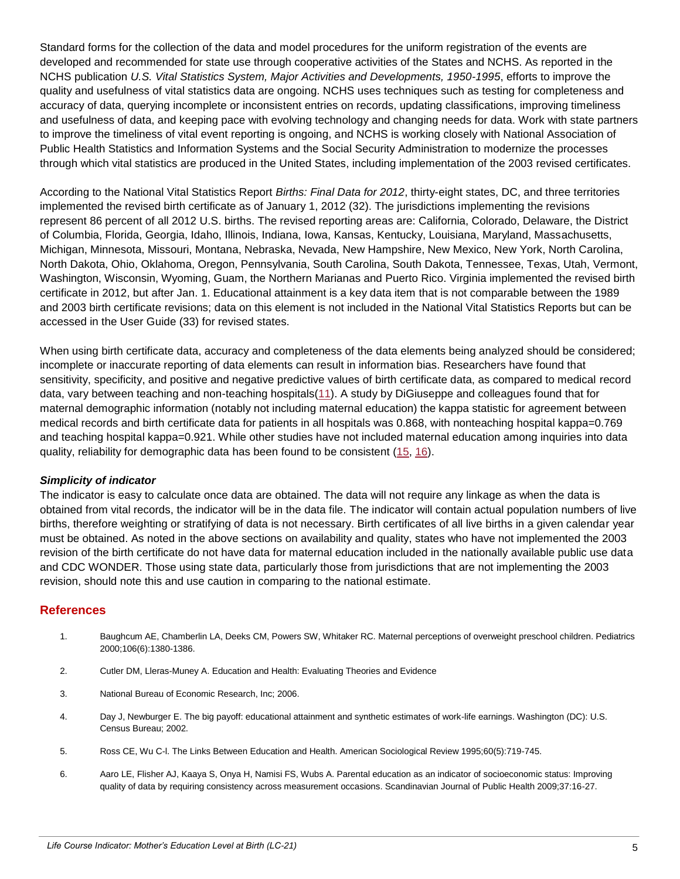Standard forms for the collection of the data and model procedures for the uniform registration of the events are developed and recommended for state use through cooperative activities of the States and NCHS. As reported in the NCHS publication *U.S. Vital Statistics System, Major Activities and Developments, 1950-1995*, efforts to improve the quality and usefulness of vital statistics data are ongoing. NCHS uses techniques such as testing for completeness and accuracy of data, querying incomplete or inconsistent entries on records, updating classifications, improving timeliness and usefulness of data, and keeping pace with evolving technology and changing needs for data. Work with state partners to improve the timeliness of vital event reporting is ongoing, and NCHS is working closely with National Association of Public Health Statistics and Information Systems and the Social Security Administration to modernize the processes through which vital statistics are produced in the United States, including implementation of the 2003 revised certificates.

According to the National Vital Statistics Report *Births: Final Data for 2012*, thirty-eight states, DC, and three territories implemented the revised birth certificate as of January 1, 2012 (32). The jurisdictions implementing the revisions represent 86 percent of all 2012 U.S. births. The revised reporting areas are: California, Colorado, Delaware, the District of Columbia, Florida, Georgia, Idaho, Illinois, Indiana, Iowa, Kansas, Kentucky, Louisiana, Maryland, Massachusetts, Michigan, Minnesota, Missouri, Montana, Nebraska, Nevada, New Hampshire, New Mexico, New York, North Carolina, North Dakota, Ohio, Oklahoma, Oregon, Pennsylvania, South Carolina, South Dakota, Tennessee, Texas, Utah, Vermont, Washington, Wisconsin, Wyoming, Guam, the Northern Marianas and Puerto Rico. Virginia implemented the revised birth certificate in 2012, but after Jan. 1. Educational attainment is a key data item that is not comparable between the 1989 and 2003 birth certificate revisions; data on this element is not included in the National Vital Statistics Reports but can be accessed in the User Guide (33) for revised states.

When using birth certificate data, accuracy and completeness of the data elements being analyzed should be considered; incomplete or inaccurate reporting of data elements can result in information bias. Researchers have found that sensitivity, specificity, and positive and negative predictive values of birth certificate data, as compared to medical record data, vary between teaching and non-teaching hospitals[\(11\)](#page-5-11). A study by DiGiuseppe and colleagues found that for maternal demographic information (notably not including maternal education) the kappa statistic for agreement between medical records and birth certificate data for patients in all hospitals was 0.868, with nonteaching hospital kappa=0.769 and teaching hospital kappa=0.921. While other studies have not included maternal education among inquiries into data quality, reliability for demographic data has been found to be consistent  $(15, 16)$  $(15, 16)$ .

#### *Simplicity of indicator*

The indicator is easy to calculate once data are obtained. The data will not require any linkage as when the data is obtained from vital records, the indicator will be in the data file. The indicator will contain actual population numbers of live births, therefore weighting or stratifying of data is not necessary. Birth certificates of all live births in a given calendar year must be obtained. As noted in the above sections on availability and quality, states who have not implemented the 2003 revision of the birth certificate do not have data for maternal education included in the nationally available public use data and CDC WONDER. Those using state data, particularly those from jurisdictions that are not implementing the 2003 revision, should note this and use caution in comparing to the national estimate.

#### **References**

- <span id="page-4-3"></span>1. Baughcum AE, Chamberlin LA, Deeks CM, Powers SW, Whitaker RC. Maternal perceptions of overweight preschool children. Pediatrics 2000;106(6):1380-1386.
- <span id="page-4-1"></span>2. Cutler DM, Lleras-Muney A. Education and Health: Evaluating Theories and Evidence
- 3. National Bureau of Economic Research, Inc; 2006.
- <span id="page-4-2"></span>4. Day J, Newburger E. The big payoff: educational attainment and synthetic estimates of work-life earnings. Washington (DC): U.S. Census Bureau; 2002.
- 5. Ross CE, Wu C-l. The Links Between Education and Health. American Sociological Review 1995;60(5):719-745.
- <span id="page-4-0"></span>6. Aaro LE, Flisher AJ, Kaaya S, Onya H, Namisi FS, Wubs A. Parental education as an indicator of socioeconomic status: Improving quality of data by requiring consistency across measurement occasions. Scandinavian Journal of Public Health 2009;37:16-27.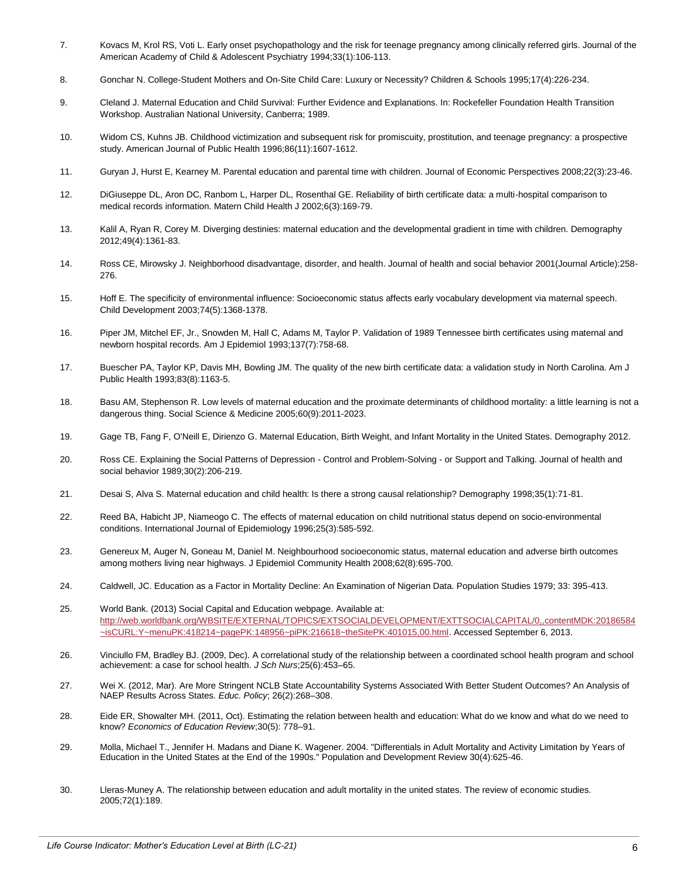- <span id="page-5-2"></span>7. Kovacs M, Krol RS, Voti L. Early onset psychopathology and the risk for teenage pregnancy among clinically referred girls. Journal of the American Academy of Child & Adolescent Psychiatry 1994;33(1):106-113.
- <span id="page-5-7"></span>8. Gonchar N. College-Student Mothers and On-Site Child Care: Luxury or Necessity? Children & Schools 1995;17(4):226-234.
- <span id="page-5-4"></span>9. Cleland J. Maternal Education and Child Survival: Further Evidence and Explanations. In: Rockefeller Foundation Health Transition Workshop. Australian National University, Canberra; 1989.
- <span id="page-5-3"></span>10. Widom CS, Kuhns JB. Childhood victimization and subsequent risk for promiscuity, prostitution, and teenage pregnancy: a prospective study. American Journal of Public Health 1996;86(11):1607-1612.
- <span id="page-5-8"></span>11. Guryan J, Hurst E, Kearney M. Parental education and parental time with children. Journal of Economic Perspectives 2008;22(3):23-46.
- <span id="page-5-11"></span>12. DiGiuseppe DL, Aron DC, Ranbom L, Harper DL, Rosenthal GE. Reliability of birth certificate data: a multi-hospital comparison to medical records information. Matern Child Health J 2002;6(3):169-79.
- <span id="page-5-5"></span>13. Kalil A, Ryan R, Corey M. Diverging destinies: maternal education and the developmental gradient in time with children. Demography 2012;49(4):1361-83.
- <span id="page-5-6"></span>14. Ross CE, Mirowsky J. Neighborhood disadvantage, disorder, and health. Journal of health and social behavior 2001(Journal Article):258- 276.
- <span id="page-5-9"></span>15. Hoff E. The specificity of environmental influence: Socioeconomic status affects early vocabulary development via maternal speech. Child Development 2003;74(5):1368-1378.
- <span id="page-5-12"></span>16. Piper JM, Mitchel EF, Jr., Snowden M, Hall C, Adams M, Taylor P. Validation of 1989 Tennessee birth certificates using maternal and newborn hospital records. Am J Epidemiol 1993;137(7):758-68.
- <span id="page-5-13"></span>17. Buescher PA, Taylor KP, Davis MH, Bowling JM. The quality of the new birth certificate data: a validation study in North Carolina. Am J Public Health 1993;83(8):1163-5.
- <span id="page-5-0"></span>18. Basu AM, Stephenson R. Low levels of maternal education and the proximate determinants of childhood mortality: a little learning is not a dangerous thing. Social Science & Medicine 2005;60(9):2011-2023.
- <span id="page-5-1"></span>19. Gage TB, Fang F, O'Neill E, Dirienzo G. Maternal Education, Birth Weight, and Infant Mortality in the United States. Demography 2012.
- <span id="page-5-10"></span>20. Ross CE. Explaining the Social Patterns of Depression - Control and Problem-Solving - or Support and Talking. Journal of health and social behavior 1989;30(2):206-219.
- 21. Desai S, Alva S. Maternal education and child health: Is there a strong causal relationship? Demography 1998;35(1):71-81.
- 22. Reed BA, Habicht JP, Niameogo C. The effects of maternal education on child nutritional status depend on socio-environmental conditions. International Journal of Epidemiology 1996;25(3):585-592.
- 23. Genereux M, Auger N, Goneau M, Daniel M. Neighbourhood socioeconomic status, maternal education and adverse birth outcomes among mothers living near highways. J Epidemiol Community Health 2008;62(8):695-700.
- 24. Caldwell, JC. Education as a Factor in Mortality Decline: An Examination of Nigerian Data. Population Studies 1979; 33: 395-413.
- 25. World Bank. (2013) Social Capital and Education webpage. Available at: [http://web.worldbank.org/WBSITE/EXTERNAL/TOPICS/EXTSOCIALDEVELOPMENT/EXTTSOCIALCAPITAL/0,,contentMDK:20186584](http://web.worldbank.org/WBSITE/EXTERNAL/TOPICS/EXTSOCIALDEVELOPMENT/EXTTSOCIALCAPITAL/0,,contentMDK:20186584~isCURL:Y~menuPK:418214~pagePK:148956~piPK:216618~theSitePK:401015,00.html) [~isCURL:Y~menuPK:418214~pagePK:148956~piPK:216618~theSitePK:401015,00.html.](http://web.worldbank.org/WBSITE/EXTERNAL/TOPICS/EXTSOCIALDEVELOPMENT/EXTTSOCIALCAPITAL/0,,contentMDK:20186584~isCURL:Y~menuPK:418214~pagePK:148956~piPK:216618~theSitePK:401015,00.html) Accessed September 6, 2013.
- 26. Vinciullo FM, Bradley BJ. (2009, Dec). A correlational study of the relationship between a coordinated school health program and school achievement: a case for school health. *J Sch Nurs*;25(6):453–65.
- 27. Wei X. (2012, Mar). Are More Stringent NCLB State Accountability Systems Associated With Better Student Outcomes? An Analysis of NAEP Results Across States. *Educ. Policy*; 26(2):268–308.
- 28. Eide ER, Showalter MH. (2011, Oct). Estimating the relation between health and education: What do we know and what do we need to know? *Economics of Education Review*;30(5): 778–91.
- 29. Molla, Michael T., Jennifer H. Madans and Diane K. Wagener. 2004. "Differentials in Adult Mortality and Activity Limitation by Years of Education in the United States at the End of the 1990s." Population and Development Review 30(4):625-46.
- 30. Lleras-Muney A. The relationship between education and adult mortality in the united states. The review of economic studies. 2005;72(1):189.